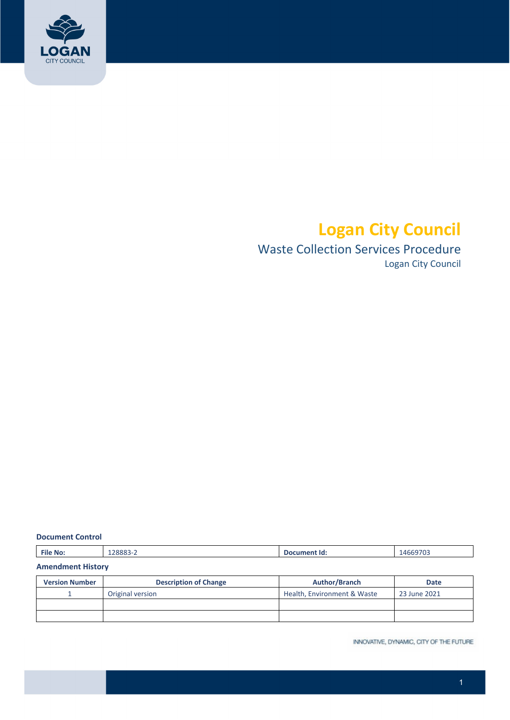

# **Logan City Council**

# Waste Collection Services Procedure

Logan City Council

#### **Document Control**

|  |  | <b>File No:</b> | 28883-2 | Document Id: | 14669703 |
|--|--|-----------------|---------|--------------|----------|
|--|--|-----------------|---------|--------------|----------|

#### **Amendment History**

| <b>Version Number</b> | <b>Description of Change</b> | <b>Author/Branch</b>        | <b>Date</b>  |
|-----------------------|------------------------------|-----------------------------|--------------|
|                       | Original version             | Health, Environment & Waste | 23 June 2021 |
|                       |                              |                             |              |
|                       |                              |                             |              |

INNOVATIVE, DYNAMIC, CITY OF THE FUTURE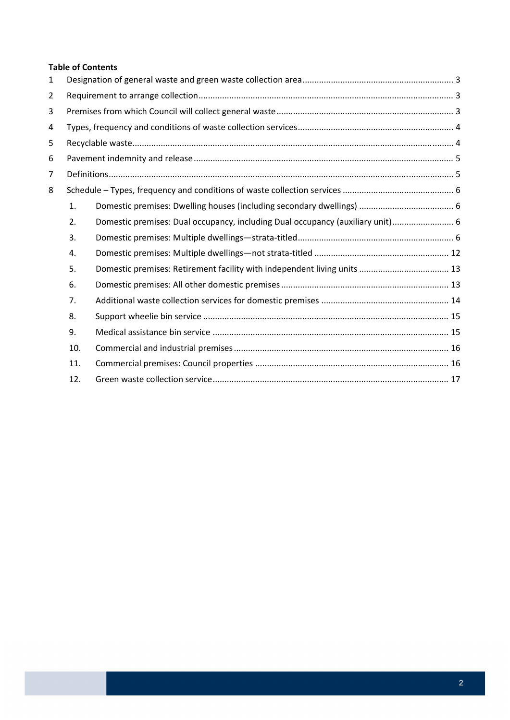#### **Table of Contents**

| $\mathbf{1}$   |     |                                                                                |  |  |  |  |
|----------------|-----|--------------------------------------------------------------------------------|--|--|--|--|
| $\overline{2}$ |     |                                                                                |  |  |  |  |
| 3              |     |                                                                                |  |  |  |  |
| 4              |     |                                                                                |  |  |  |  |
| 5              |     |                                                                                |  |  |  |  |
| 6              |     |                                                                                |  |  |  |  |
| $\overline{7}$ |     |                                                                                |  |  |  |  |
| 8              |     |                                                                                |  |  |  |  |
|                | 1.  |                                                                                |  |  |  |  |
|                | 2.  | Domestic premises: Dual occupancy, including Dual occupancy (auxiliary unit) 6 |  |  |  |  |
|                | 3.  |                                                                                |  |  |  |  |
|                | 4.  |                                                                                |  |  |  |  |
|                | 5.  |                                                                                |  |  |  |  |
|                | 6.  |                                                                                |  |  |  |  |
|                | 7.  |                                                                                |  |  |  |  |
|                | 8.  |                                                                                |  |  |  |  |
|                | 9.  |                                                                                |  |  |  |  |
|                | 10. |                                                                                |  |  |  |  |
|                | 11. |                                                                                |  |  |  |  |
|                | 12. |                                                                                |  |  |  |  |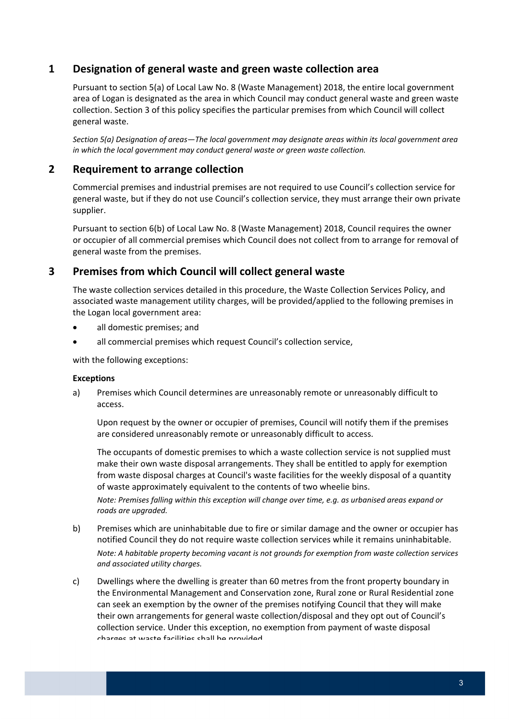# **1 Designation of general waste and green waste collection area**

 Pursuant to section 5(a) of Local Law No. 8 (Waste Management) 2018, the entire local government area of Logan is designated as the area in which Council may conduct general waste and green waste collection. Section 3 of this policy specifies the particular premises from which Council will collect general waste.

Section 5(a) Designation of areas—The local government may designate areas within its local government area  *in which the local government may conduct general waste or green waste collection.*

# **2 Requirement to arrange collection**

 Commercial premises and industrial premises are not required to use Council's collection service for general waste, but if they do not use Council's collection service, they must arrange their own private supplier.

 Pursuant to section 6(b) of Local Law No. 8 (Waste Management) 2018, Council requires the owner or occupier of all commercial premises which Council does not collect from to arrange for removal of general waste from the premises.

# **3 Premises from which Council will collect general waste**

 The waste collection services detailed in this procedure, the Waste Collection Services Policy, and associated waste management utility charges, will be provided/applied to the following premises in the Logan local government area:

- all domestic premises; and
- all commercial premises which request Council's collection service,

with the following exceptions:

#### **Exceptions**

 a) Premises which Council determines are unreasonably remote or unreasonably difficult to access.

 Upon request by the owner or occupier of premises, Council will notify them if the premises are considered unreasonably remote or unreasonably difficult to access.

 The occupants of domestic premises to which a waste collection service is not supplied must make their own waste disposal arrangements. They shall be entitled to apply for exemption from waste disposal charges at Council's waste facilities for the weekly disposal of a quantity of waste approximately equivalent to the contents of two wheelie bins.

Note: Premises falling within this exception will change over time, e.g. as urbanised areas expand or  *roads are upgraded.*

- b) Premises which are uninhabitable due to fire or similar damage and the owner or occupier has notified Council they do not require waste collection services while it remains uninhabitable. Note: A habitable property becoming vacant is not grounds for exemption from waste collection services  *and associated utility charges.*
- c) Dwellings where the dwelling is greater than 60 metres from the front property boundary in the Environmental Management and Conservation zone, Rural zone or Rural Residential zone can seek an exemption by the owner of the premises notifying Council that they will make their own arrangements for general waste collection/disposal and they opt out of Council's collection service. Under this exception, no exemption from payment of waste disposal charges at waste facilities shall be provided.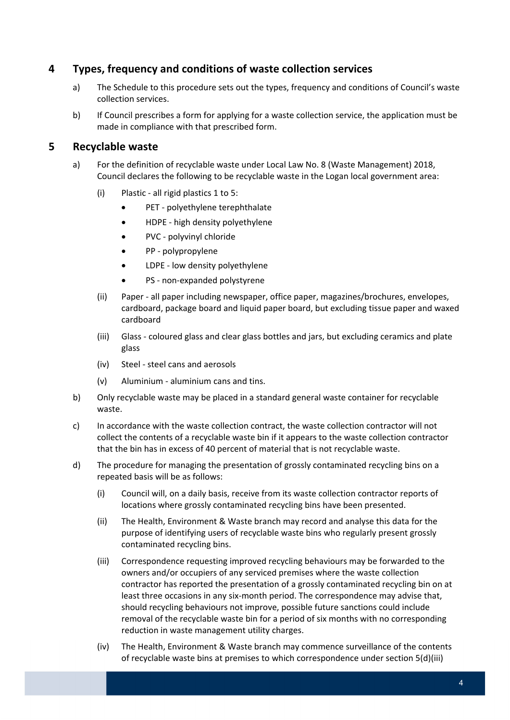# **4 Types, frequency and conditions of waste collection services**

- a) The Schedule to this procedure sets out the types, frequency and conditions of Council's waste collection services.
- b) If Council prescribes a form for applying for a waste collection service, the application must be made in compliance with that prescribed form.

#### **5 Recyclable waste**

- a) For the definition of recyclable waste under Local Law No. 8 (Waste Management) 2018, Council declares the following to be recyclable waste in the Logan local government area:
	- (i) Plastic ‐ all rigid plastics 1 to 5:
		- PET ‐ polyethylene terephthalate
		- HDPE high density polyethylene
		- PVC polyvinyl chloride
		- PP polypropylene
		- LDPE low density polyethylene
		- PS non-expanded polystyrene
	- (ii) Paper ‐ all paper including newspaper, office paper, magazines/brochures, envelopes, cardboard, package board and liquid paper board, but excluding tissue paper and waxed cardboard
	- (iii) Glass ‐ coloured glass and clear glass bottles and jars, but excluding ceramics and plate glass
	- (iv) Steel ‐ steel cans and aerosols
	- (v) Aluminium ‐ aluminium cans and tins.
- b) Only recyclable waste may be placed in a standard general waste container for recyclable waste.
- c) In accordance with the waste collection contract, the waste collection contractor will not collect the contents of a recyclable waste bin if it appears to the waste collection contractor that the bin has in excess of 40 percent of material that is not recyclable waste.
- d) The procedure for managing the presentation of grossly contaminated recycling bins on a repeated basis will be as follows:
	- (i) Council will, on a daily basis, receive from its waste collection contractor reports of locations where grossly contaminated recycling bins have been presented.
	- (ii) The Health, Environment & Waste branch may record and analyse this data for the purpose of identifying users of recyclable waste bins who regularly present grossly contaminated recycling bins.
	- (iii) Correspondence requesting improved recycling behaviours may be forwarded to the owners and/or occupiers of any serviced premises where the waste collection contractor has reported the presentation of a grossly contaminated recycling bin on at least three occasions in any six‐month period. The correspondence may advise that, should recycling behaviours not improve, possible future sanctions could include removal of the recyclable waste bin for a period of six months with no corresponding reduction in waste management utility charges.
	- (iv) The Health, Environment & Waste branch may commence surveillance of the contents of recyclable waste bins at premises to which correspondence under section 5(d)(iii)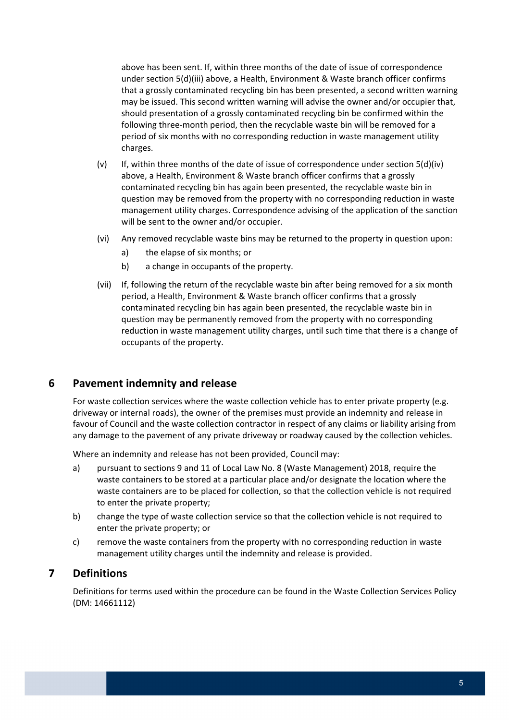above has been sent. If, within three months of the date of issue of correspondence under section 5(d)(iii) above, a Health, Environment & Waste branch officer confirms that a grossly contaminated recycling bin has been presented, a second written warning may be issued. This second written warning will advise the owner and/or occupier that, should presentation of a grossly contaminated recycling bin be confirmed within the following three‐month period, then the recyclable waste bin will be removed for a period of six months with no corresponding reduction in waste management utility charges.

- (v) If, within three months of the date of issue of correspondence under section 5(d)(iv) above, a Health, Environment & Waste branch officer confirms that a grossly contaminated recycling bin has again been presented, the recyclable waste bin in question may be removed from the property with no corresponding reduction in waste management utility charges. Correspondence advising of the application of the sanction will be sent to the owner and/or occupier.
- (vi) Any removed recyclable waste bins may be returned to the property in question upon:
	- a) the elapse of six months; or
	- b) a change in occupants of the property.
- (vii) If, following the return of the recyclable waste bin after being removed for a six month period, a Health, Environment & Waste branch officer confirms that a grossly contaminated recycling bin has again been presented, the recyclable waste bin in question may be permanently removed from the property with no corresponding reduction in waste management utility charges, until such time that there is a change of occupants of the property.

### **6 Pavement indemnity and release**

 For waste collection services where the waste collection vehicle has to enter private property (e.g. driveway or internal roads), the owner of the premises must provide an indemnity and release in favour of Council and the waste collection contractor in respect of any claims or liability arising from any damage to the pavement of any private driveway or roadway caused by the collection vehicles.

Where an indemnity and release has not been provided, Council may:

- a) pursuant to sections 9 and 11 of Local Law No. 8 (Waste Management) 2018, require the waste containers to be stored at a particular place and/or designate the location where the waste containers are to be placed for collection, so that the collection vehicle is not required to enter the private property;
- b) change the type of waste collection service so that the collection vehicle is not required to enter the private property; or
- c) remove the waste containers from the property with no corresponding reduction in waste management utility charges until the indemnity and release is provided.

#### **7 Definitions**

 Definitions for terms used within the procedure can be found in the Waste Collection Services Policy (DM: 14661112)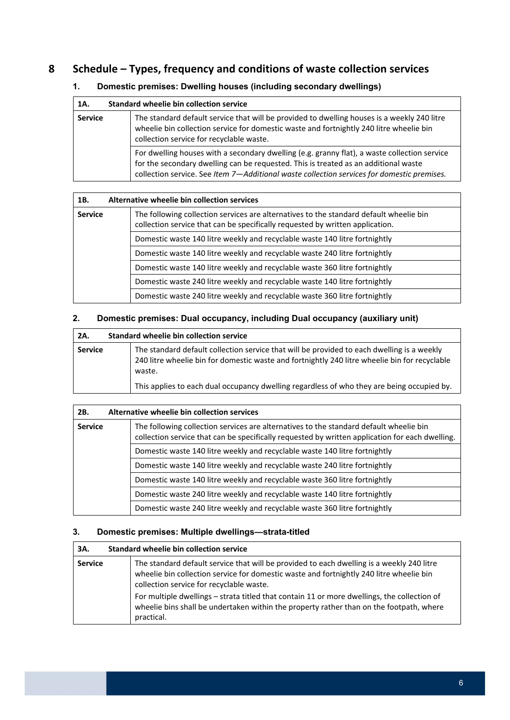# **8 Schedule – Types, frequency and conditions of waste collection services**

#### **1. Domestic premises: Dwelling houses (including secondary dwellings)**

| 1A.            | Standard wheelie bin collection service                                                                                                                                                                                                                                           |
|----------------|-----------------------------------------------------------------------------------------------------------------------------------------------------------------------------------------------------------------------------------------------------------------------------------|
| <b>Service</b> | The standard default service that will be provided to dwelling houses is a weekly 240 litre<br>wheelie bin collection service for domestic waste and fortnightly 240 litre wheelie bin<br>collection service for recyclable waste.                                                |
|                | For dwelling houses with a secondary dwelling (e.g. granny flat), a waste collection service<br>for the secondary dwelling can be requested. This is treated as an additional waste<br>collection service. See Item 7-Additional waste collection services for domestic premises. |

| 1B.            | Alternative wheelie bin collection services                                                                                                                             |  |  |  |  |  |  |
|----------------|-------------------------------------------------------------------------------------------------------------------------------------------------------------------------|--|--|--|--|--|--|
| <b>Service</b> | The following collection services are alternatives to the standard default wheelie bin<br>collection service that can be specifically requested by written application. |  |  |  |  |  |  |
|                | Domestic waste 140 litre weekly and recyclable waste 140 litre fortnightly                                                                                              |  |  |  |  |  |  |
|                | Domestic waste 140 litre weekly and recyclable waste 240 litre fortnightly                                                                                              |  |  |  |  |  |  |
|                | Domestic waste 140 litre weekly and recyclable waste 360 litre fortnightly                                                                                              |  |  |  |  |  |  |
|                | Domestic waste 240 litre weekly and recyclable waste 140 litre fortnightly                                                                                              |  |  |  |  |  |  |
|                | Domestic waste 240 litre weekly and recyclable waste 360 litre fortnightly                                                                                              |  |  |  |  |  |  |

#### **2. Domestic premises: Dual occupancy, including Dual occupancy (auxiliary unit)**

| 2A.            | <b>Standard wheelie bin collection service</b>                                                                                                                                                        |
|----------------|-------------------------------------------------------------------------------------------------------------------------------------------------------------------------------------------------------|
| <b>Service</b> | The standard default collection service that will be provided to each dwelling is a weekly<br>240 litre wheelie bin for domestic waste and fortnightly 240 litre wheelie bin for recyclable<br>waste. |
|                | This applies to each dual occupancy dwelling regardless of who they are being occupied by.                                                                                                            |

| 2B.            | Alternative wheelie bin collection services                                                                                                                                               |
|----------------|-------------------------------------------------------------------------------------------------------------------------------------------------------------------------------------------|
| <b>Service</b> | The following collection services are alternatives to the standard default wheelie bin<br>collection service that can be specifically requested by written application for each dwelling. |
|                | Domestic waste 140 litre weekly and recyclable waste 140 litre fortnightly                                                                                                                |
|                | Domestic waste 140 litre weekly and recyclable waste 240 litre fortnightly                                                                                                                |
|                | Domestic waste 140 litre weekly and recyclable waste 360 litre fortnightly                                                                                                                |
|                | Domestic waste 240 litre weekly and recyclable waste 140 litre fortnightly                                                                                                                |
|                | Domestic waste 240 litre weekly and recyclable waste 360 litre fortnightly                                                                                                                |

#### **3. Domestic premises: Multiple dwellings—strata-titled**

| 3A.            | Standard wheelie bin collection service                                                                                                                                                                                          |
|----------------|----------------------------------------------------------------------------------------------------------------------------------------------------------------------------------------------------------------------------------|
| <b>Service</b> | The standard default service that will be provided to each dwelling is a weekly 240 litre<br>wheelie bin collection service for domestic waste and fortnightly 240 litre wheelie bin<br>collection service for recyclable waste. |
|                | For multiple dwellings – strata titled that contain 11 or more dwellings, the collection of<br>wheelie bins shall be undertaken within the property rather than on the footpath, where<br>practical.                             |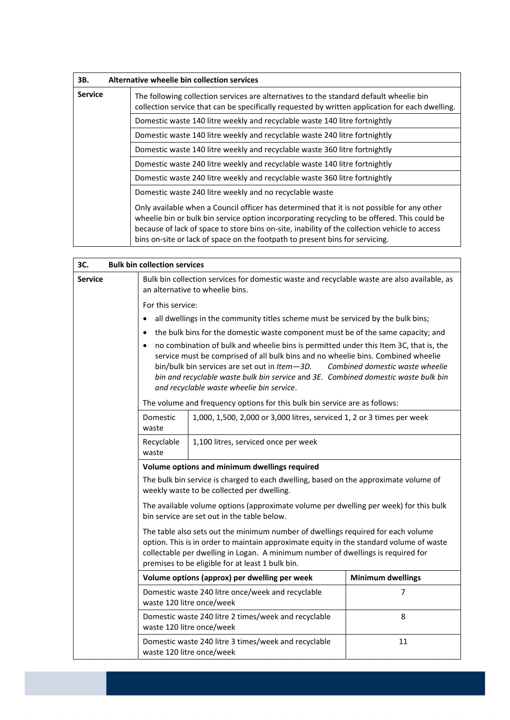| 3B.                                                                        | Alternative wheelie bin collection services                                                                                                                                                                                                                                                                                                                                |  |  |  |  |
|----------------------------------------------------------------------------|----------------------------------------------------------------------------------------------------------------------------------------------------------------------------------------------------------------------------------------------------------------------------------------------------------------------------------------------------------------------------|--|--|--|--|
| <b>Service</b>                                                             | The following collection services are alternatives to the standard default wheelie bin<br>collection service that can be specifically requested by written application for each dwelling.                                                                                                                                                                                  |  |  |  |  |
|                                                                            | Domestic waste 140 litre weekly and recyclable waste 140 litre fortnightly                                                                                                                                                                                                                                                                                                 |  |  |  |  |
| Domestic waste 140 litre weekly and recyclable waste 240 litre fortnightly |                                                                                                                                                                                                                                                                                                                                                                            |  |  |  |  |
|                                                                            | Domestic waste 140 litre weekly and recyclable waste 360 litre fortnightly                                                                                                                                                                                                                                                                                                 |  |  |  |  |
|                                                                            | Domestic waste 240 litre weekly and recyclable waste 140 litre fortnightly                                                                                                                                                                                                                                                                                                 |  |  |  |  |
|                                                                            | Domestic waste 240 litre weekly and recyclable waste 360 litre fortnightly                                                                                                                                                                                                                                                                                                 |  |  |  |  |
|                                                                            | Domestic waste 240 litre weekly and no recyclable waste                                                                                                                                                                                                                                                                                                                    |  |  |  |  |
|                                                                            | Only available when a Council officer has determined that it is not possible for any other<br>wheelie bin or bulk bin service option incorporating recycling to be offered. This could be<br>because of lack of space to store bins on-site, inability of the collection vehicle to access<br>bins on-site or lack of space on the footpath to present bins for servicing. |  |  |  |  |

| 3C.            |                                                                                                                                                                                                                                                                                                                                                                                                               | <b>Bulk bin collection services</b>                                                                                                                                                                                                                                                                                 |    |  |  |  |
|----------------|---------------------------------------------------------------------------------------------------------------------------------------------------------------------------------------------------------------------------------------------------------------------------------------------------------------------------------------------------------------------------------------------------------------|---------------------------------------------------------------------------------------------------------------------------------------------------------------------------------------------------------------------------------------------------------------------------------------------------------------------|----|--|--|--|
| <b>Service</b> | Bulk bin collection services for domestic waste and recyclable waste are also available, as<br>an alternative to wheelie bins.                                                                                                                                                                                                                                                                                |                                                                                                                                                                                                                                                                                                                     |    |  |  |  |
|                |                                                                                                                                                                                                                                                                                                                                                                                                               | For this service:                                                                                                                                                                                                                                                                                                   |    |  |  |  |
|                | $\bullet$                                                                                                                                                                                                                                                                                                                                                                                                     | all dwellings in the community titles scheme must be serviced by the bulk bins;                                                                                                                                                                                                                                     |    |  |  |  |
|                | the bulk bins for the domestic waste component must be of the same capacity; and<br>$\bullet$                                                                                                                                                                                                                                                                                                                 |                                                                                                                                                                                                                                                                                                                     |    |  |  |  |
|                | no combination of bulk and wheelie bins is permitted under this Item 3C, that is, the<br>$\bullet$<br>service must be comprised of all bulk bins and no wheelie bins. Combined wheelie<br>bin/bulk bin services are set out in Item-3D.<br>Combined domestic waste wheelie<br>bin and recyclable waste bulk bin service and 3E. Combined domestic waste bulk bin<br>and recyclable waste wheelie bin service. |                                                                                                                                                                                                                                                                                                                     |    |  |  |  |
|                |                                                                                                                                                                                                                                                                                                                                                                                                               | The volume and frequency options for this bulk bin service are as follows:                                                                                                                                                                                                                                          |    |  |  |  |
|                | Domestic<br>waste                                                                                                                                                                                                                                                                                                                                                                                             | 1,000, 1,500, 2,000 or 3,000 litres, serviced 1, 2 or 3 times per week                                                                                                                                                                                                                                              |    |  |  |  |
|                | Recyclable<br>1,100 litres, serviced once per week<br>waste                                                                                                                                                                                                                                                                                                                                                   |                                                                                                                                                                                                                                                                                                                     |    |  |  |  |
|                | Volume options and minimum dwellings required                                                                                                                                                                                                                                                                                                                                                                 |                                                                                                                                                                                                                                                                                                                     |    |  |  |  |
|                | The bulk bin service is charged to each dwelling, based on the approximate volume of<br>weekly waste to be collected per dwelling.                                                                                                                                                                                                                                                                            |                                                                                                                                                                                                                                                                                                                     |    |  |  |  |
|                | The available volume options (approximate volume per dwelling per week) for this bulk<br>bin service are set out in the table below.                                                                                                                                                                                                                                                                          |                                                                                                                                                                                                                                                                                                                     |    |  |  |  |
|                |                                                                                                                                                                                                                                                                                                                                                                                                               | The table also sets out the minimum number of dwellings required for each volume<br>option. This is in order to maintain approximate equity in the standard volume of waste<br>collectable per dwelling in Logan. A minimum number of dwellings is required for<br>premises to be eligible for at least 1 bulk bin. |    |  |  |  |
|                | Volume options (approx) per dwelling per week<br><b>Minimum dwellings</b>                                                                                                                                                                                                                                                                                                                                     |                                                                                                                                                                                                                                                                                                                     |    |  |  |  |
|                | Domestic waste 240 litre once/week and recyclable<br>waste 120 litre once/week                                                                                                                                                                                                                                                                                                                                | 7                                                                                                                                                                                                                                                                                                                   |    |  |  |  |
|                |                                                                                                                                                                                                                                                                                                                                                                                                               | Domestic waste 240 litre 2 times/week and recyclable<br>waste 120 litre once/week                                                                                                                                                                                                                                   | 8  |  |  |  |
|                |                                                                                                                                                                                                                                                                                                                                                                                                               | Domestic waste 240 litre 3 times/week and recyclable<br>waste 120 litre once/week                                                                                                                                                                                                                                   | 11 |  |  |  |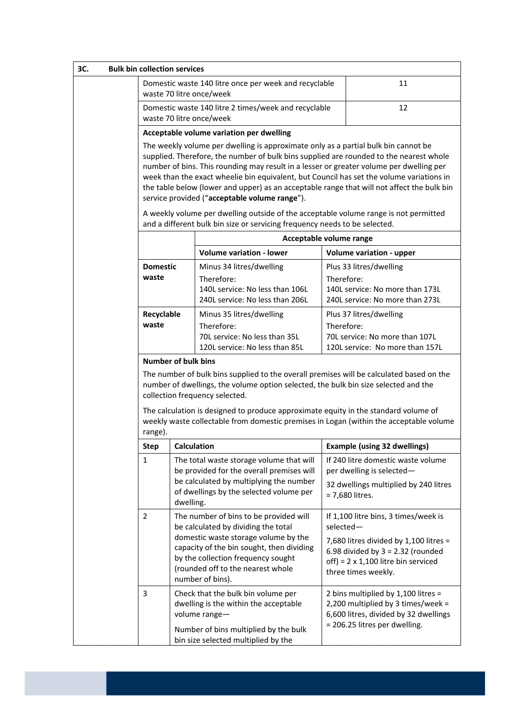| 3C.                        | <b>Bulk bin collection services</b>                                                                                                                                                                                                                                                                                                                                                                                                                                                                                |                                                                                                                                                                                                                   |                                                                                                                                                                                                                                                                   |            |                                                                                                                                                                                            |  |
|----------------------------|--------------------------------------------------------------------------------------------------------------------------------------------------------------------------------------------------------------------------------------------------------------------------------------------------------------------------------------------------------------------------------------------------------------------------------------------------------------------------------------------------------------------|-------------------------------------------------------------------------------------------------------------------------------------------------------------------------------------------------------------------|-------------------------------------------------------------------------------------------------------------------------------------------------------------------------------------------------------------------------------------------------------------------|------------|--------------------------------------------------------------------------------------------------------------------------------------------------------------------------------------------|--|
|                            | 11<br>Domestic waste 140 litre once per week and recyclable<br>waste 70 litre once/week                                                                                                                                                                                                                                                                                                                                                                                                                            |                                                                                                                                                                                                                   |                                                                                                                                                                                                                                                                   |            |                                                                                                                                                                                            |  |
|                            | Domestic waste 140 litre 2 times/week and recyclable<br>12<br>waste 70 litre once/week                                                                                                                                                                                                                                                                                                                                                                                                                             |                                                                                                                                                                                                                   |                                                                                                                                                                                                                                                                   |            |                                                                                                                                                                                            |  |
|                            |                                                                                                                                                                                                                                                                                                                                                                                                                                                                                                                    |                                                                                                                                                                                                                   | Acceptable volume variation per dwelling                                                                                                                                                                                                                          |            |                                                                                                                                                                                            |  |
|                            | The weekly volume per dwelling is approximate only as a partial bulk bin cannot be<br>supplied. Therefore, the number of bulk bins supplied are rounded to the nearest whole<br>number of bins. This rounding may result in a lesser or greater volume per dwelling per<br>week than the exact wheelie bin equivalent, but Council has set the volume variations in<br>the table below (lower and upper) as an acceptable range that will not affect the bulk bin<br>service provided ("acceptable volume range"). |                                                                                                                                                                                                                   |                                                                                                                                                                                                                                                                   |            |                                                                                                                                                                                            |  |
|                            |                                                                                                                                                                                                                                                                                                                                                                                                                                                                                                                    |                                                                                                                                                                                                                   | A weekly volume per dwelling outside of the acceptable volume range is not permitted<br>and a different bulk bin size or servicing frequency needs to be selected.                                                                                                |            |                                                                                                                                                                                            |  |
|                            |                                                                                                                                                                                                                                                                                                                                                                                                                                                                                                                    |                                                                                                                                                                                                                   | Acceptable volume range                                                                                                                                                                                                                                           |            |                                                                                                                                                                                            |  |
|                            |                                                                                                                                                                                                                                                                                                                                                                                                                                                                                                                    |                                                                                                                                                                                                                   | <b>Volume variation - lower</b>                                                                                                                                                                                                                                   |            | <b>Volume variation - upper</b>                                                                                                                                                            |  |
|                            | <b>Domestic</b><br>waste<br>Recyclable<br>waste                                                                                                                                                                                                                                                                                                                                                                                                                                                                    |                                                                                                                                                                                                                   | Minus 34 litres/dwelling<br>Therefore:<br>140L service: No less than 106L<br>240L service: No less than 206L                                                                                                                                                      | Therefore: | Plus 33 litres/dwelling<br>140L service: No more than 173L<br>240L service: No more than 273L                                                                                              |  |
|                            |                                                                                                                                                                                                                                                                                                                                                                                                                                                                                                                    |                                                                                                                                                                                                                   | Minus 35 litres/dwelling<br>Therefore:<br>70L service: No less than 35L<br>120L service: No less than 85L                                                                                                                                                         | Therefore: | Plus 37 litres/dwelling<br>70L service: No more than 107L<br>120L service: No more than 157L                                                                                               |  |
| <b>Number of bulk bins</b> |                                                                                                                                                                                                                                                                                                                                                                                                                                                                                                                    |                                                                                                                                                                                                                   |                                                                                                                                                                                                                                                                   |            |                                                                                                                                                                                            |  |
|                            |                                                                                                                                                                                                                                                                                                                                                                                                                                                                                                                    | The number of bulk bins supplied to the overall premises will be calculated based on the<br>number of dwellings, the volume option selected, the bulk bin size selected and the<br>collection frequency selected. |                                                                                                                                                                                                                                                                   |            |                                                                                                                                                                                            |  |
|                            | range).                                                                                                                                                                                                                                                                                                                                                                                                                                                                                                            |                                                                                                                                                                                                                   | The calculation is designed to produce approximate equity in the standard volume of<br>weekly waste collectable from domestic premises in Logan (within the acceptable volume                                                                                     |            |                                                                                                                                                                                            |  |
|                            | <b>Step</b>                                                                                                                                                                                                                                                                                                                                                                                                                                                                                                        | <b>Calculation</b>                                                                                                                                                                                                |                                                                                                                                                                                                                                                                   |            | <b>Example (using 32 dwellings)</b>                                                                                                                                                        |  |
|                            | $\mathbf{1}$                                                                                                                                                                                                                                                                                                                                                                                                                                                                                                       | dwelling.                                                                                                                                                                                                         | The total waste storage volume that will<br>be provided for the overall premises will<br>be calculated by multiplying the number<br>of dwellings by the selected volume per                                                                                       |            | If 240 litre domestic waste volume<br>per dwelling is selected-<br>32 dwellings multiplied by 240 litres<br>= 7,680 litres.                                                                |  |
|                            | $\overline{2}$                                                                                                                                                                                                                                                                                                                                                                                                                                                                                                     |                                                                                                                                                                                                                   | The number of bins to be provided will<br>be calculated by dividing the total<br>domestic waste storage volume by the<br>capacity of the bin sought, then dividing<br>by the collection frequency sought<br>(rounded off to the nearest whole<br>number of bins). | selected-  | If 1,100 litre bins, 3 times/week is<br>7,680 litres divided by 1,100 litres =<br>6.98 divided by $3 = 2.32$ (rounded<br>off) = $2 \times 1,100$ litre bin serviced<br>three times weekly. |  |
|                            | 3                                                                                                                                                                                                                                                                                                                                                                                                                                                                                                                  |                                                                                                                                                                                                                   | Check that the bulk bin volume per<br>dwelling is the within the acceptable<br>volume range-<br>Number of bins multiplied by the bulk<br>bin size selected multiplied by the                                                                                      |            | 2 bins multiplied by 1,100 litres =<br>2,200 multiplied by 3 times/week =<br>6,600 litres, divided by 32 dwellings<br>= 206.25 litres per dwelling.                                        |  |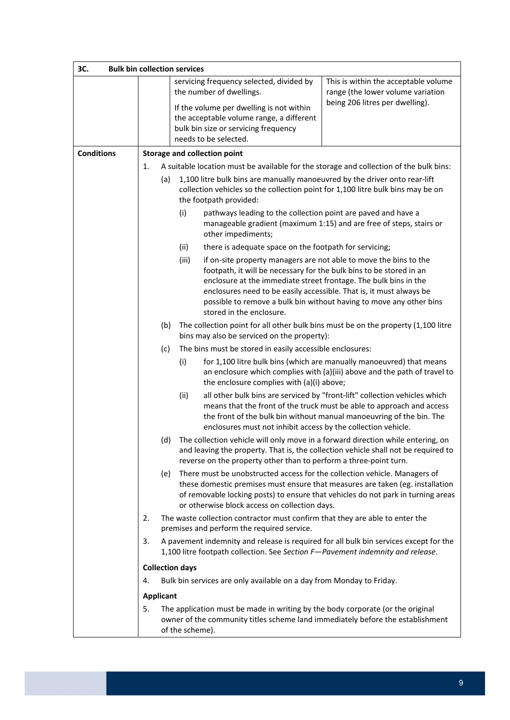| 3C.               |                  | <b>Bulk bin collection services</b> |                                                                                                                                                                                                                                                                                                                                                                                                                                                                                                                                                                                                                                                                                                                                                                                                                                               |                                                                                        |  |
|-------------------|------------------|-------------------------------------|-----------------------------------------------------------------------------------------------------------------------------------------------------------------------------------------------------------------------------------------------------------------------------------------------------------------------------------------------------------------------------------------------------------------------------------------------------------------------------------------------------------------------------------------------------------------------------------------------------------------------------------------------------------------------------------------------------------------------------------------------------------------------------------------------------------------------------------------------|----------------------------------------------------------------------------------------|--|
|                   |                  |                                     | servicing frequency selected, divided by                                                                                                                                                                                                                                                                                                                                                                                                                                                                                                                                                                                                                                                                                                                                                                                                      | This is within the acceptable volume                                                   |  |
|                   |                  |                                     | the number of dwellings.                                                                                                                                                                                                                                                                                                                                                                                                                                                                                                                                                                                                                                                                                                                                                                                                                      | range (the lower volume variation                                                      |  |
|                   |                  |                                     | If the volume per dwelling is not within                                                                                                                                                                                                                                                                                                                                                                                                                                                                                                                                                                                                                                                                                                                                                                                                      | being 206 litres per dwelling).                                                        |  |
|                   |                  |                                     | the acceptable volume range, a different                                                                                                                                                                                                                                                                                                                                                                                                                                                                                                                                                                                                                                                                                                                                                                                                      |                                                                                        |  |
|                   |                  |                                     | bulk bin size or servicing frequency<br>needs to be selected.                                                                                                                                                                                                                                                                                                                                                                                                                                                                                                                                                                                                                                                                                                                                                                                 |                                                                                        |  |
|                   |                  |                                     |                                                                                                                                                                                                                                                                                                                                                                                                                                                                                                                                                                                                                                                                                                                                                                                                                                               |                                                                                        |  |
| <b>Conditions</b> |                  |                                     | <b>Storage and collection point</b>                                                                                                                                                                                                                                                                                                                                                                                                                                                                                                                                                                                                                                                                                                                                                                                                           |                                                                                        |  |
|                   | 1.               |                                     |                                                                                                                                                                                                                                                                                                                                                                                                                                                                                                                                                                                                                                                                                                                                                                                                                                               | A suitable location must be available for the storage and collection of the bulk bins: |  |
|                   | (a)              |                                     | 1,100 litre bulk bins are manually manoeuvred by the driver onto rear-lift<br>collection vehicles so the collection point for 1,100 litre bulk bins may be on<br>the footpath provided:<br>pathways leading to the collection point are paved and have a<br>manageable gradient (maximum 1:15) and are free of steps, stairs or<br>other impediments;                                                                                                                                                                                                                                                                                                                                                                                                                                                                                         |                                                                                        |  |
|                   |                  | (i)                                 |                                                                                                                                                                                                                                                                                                                                                                                                                                                                                                                                                                                                                                                                                                                                                                                                                                               |                                                                                        |  |
|                   |                  | (ii)                                | there is adequate space on the footpath for servicing;                                                                                                                                                                                                                                                                                                                                                                                                                                                                                                                                                                                                                                                                                                                                                                                        |                                                                                        |  |
|                   |                  | (iii)                               | if on-site property managers are not able to move the bins to the<br>footpath, it will be necessary for the bulk bins to be stored in an<br>enclosure at the immediate street frontage. The bulk bins in the<br>enclosures need to be easily accessible. That is, it must always be<br>possible to remove a bulk bin without having to move any other bins<br>stored in the enclosure.                                                                                                                                                                                                                                                                                                                                                                                                                                                        |                                                                                        |  |
|                   | (b)              |                                     | bins may also be serviced on the property):                                                                                                                                                                                                                                                                                                                                                                                                                                                                                                                                                                                                                                                                                                                                                                                                   | The collection point for all other bulk bins must be on the property (1,100 litre      |  |
|                   | (c)              |                                     | The bins must be stored in easily accessible enclosures:                                                                                                                                                                                                                                                                                                                                                                                                                                                                                                                                                                                                                                                                                                                                                                                      |                                                                                        |  |
|                   |                  | (i)                                 | for 1,100 litre bulk bins (which are manually manoeuvred) that means<br>an enclosure which complies with (a)(iii) above and the path of travel to<br>the enclosure complies with (a)(i) above;                                                                                                                                                                                                                                                                                                                                                                                                                                                                                                                                                                                                                                                |                                                                                        |  |
|                   |                  | (ii)                                | all other bulk bins are serviced by "front-lift" collection vehicles which<br>means that the front of the truck must be able to approach and access<br>the front of the bulk bin without manual manoeuvring of the bin. The<br>enclosures must not inhibit access by the collection vehicle.<br>The collection vehicle will only move in a forward direction while entering, on<br>and leaving the property. That is, the collection vehicle shall not be required to<br>reverse on the property other than to perform a three-point turn.<br>There must be unobstructed access for the collection vehicle. Managers of<br>these domestic premises must ensure that measures are taken (eg. installation<br>of removable locking posts) to ensure that vehicles do not park in turning areas<br>or otherwise block access on collection days. |                                                                                        |  |
|                   | (d)              |                                     |                                                                                                                                                                                                                                                                                                                                                                                                                                                                                                                                                                                                                                                                                                                                                                                                                                               |                                                                                        |  |
|                   | (e)              |                                     |                                                                                                                                                                                                                                                                                                                                                                                                                                                                                                                                                                                                                                                                                                                                                                                                                                               |                                                                                        |  |
|                   | 2.               |                                     | The waste collection contractor must confirm that they are able to enter the<br>premises and perform the required service.<br>A pavement indemnity and release is required for all bulk bin services except for the<br>1,100 litre footpath collection. See Section F-Pavement indemnity and release.                                                                                                                                                                                                                                                                                                                                                                                                                                                                                                                                         |                                                                                        |  |
|                   | 3.               |                                     |                                                                                                                                                                                                                                                                                                                                                                                                                                                                                                                                                                                                                                                                                                                                                                                                                                               |                                                                                        |  |
|                   |                  | <b>Collection days</b>              |                                                                                                                                                                                                                                                                                                                                                                                                                                                                                                                                                                                                                                                                                                                                                                                                                                               |                                                                                        |  |
|                   | 4.               |                                     | Bulk bin services are only available on a day from Monday to Friday.                                                                                                                                                                                                                                                                                                                                                                                                                                                                                                                                                                                                                                                                                                                                                                          |                                                                                        |  |
|                   | <b>Applicant</b> |                                     |                                                                                                                                                                                                                                                                                                                                                                                                                                                                                                                                                                                                                                                                                                                                                                                                                                               |                                                                                        |  |
|                   | 5.               | of the scheme).                     | The application must be made in writing by the body corporate (or the original<br>owner of the community titles scheme land immediately before the establishment                                                                                                                                                                                                                                                                                                                                                                                                                                                                                                                                                                                                                                                                              |                                                                                        |  |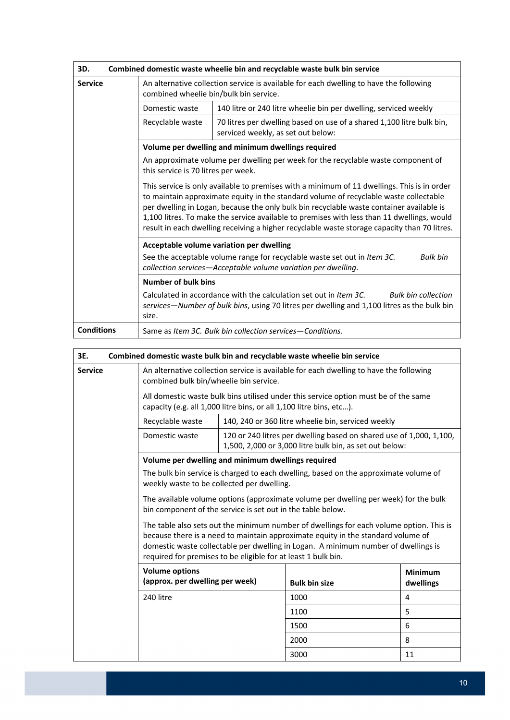| 3D.               | Combined domestic waste wheelie bin and recyclable waste bulk bin service                                                                                                                                                                                                                                                                                                                                                                                                      |                                                                                                                                                                                                |  |
|-------------------|--------------------------------------------------------------------------------------------------------------------------------------------------------------------------------------------------------------------------------------------------------------------------------------------------------------------------------------------------------------------------------------------------------------------------------------------------------------------------------|------------------------------------------------------------------------------------------------------------------------------------------------------------------------------------------------|--|
| <b>Service</b>    | An alternative collection service is available for each dwelling to have the following<br>combined wheelie bin/bulk bin service.                                                                                                                                                                                                                                                                                                                                               |                                                                                                                                                                                                |  |
|                   | Domestic waste                                                                                                                                                                                                                                                                                                                                                                                                                                                                 | 140 litre or 240 litre wheelie bin per dwelling, serviced weekly                                                                                                                               |  |
|                   | Recyclable waste                                                                                                                                                                                                                                                                                                                                                                                                                                                               | 70 litres per dwelling based on use of a shared 1,100 litre bulk bin,<br>serviced weekly, as set out below:                                                                                    |  |
|                   |                                                                                                                                                                                                                                                                                                                                                                                                                                                                                | Volume per dwelling and minimum dwellings required                                                                                                                                             |  |
|                   | An approximate volume per dwelling per week for the recyclable waste component of<br>this service is 70 litres per week.                                                                                                                                                                                                                                                                                                                                                       |                                                                                                                                                                                                |  |
|                   | This service is only available to premises with a minimum of 11 dwellings. This is in order<br>to maintain approximate equity in the standard volume of recyclable waste collectable<br>per dwelling in Logan, because the only bulk bin recyclable waste container available is<br>1,100 litres. To make the service available to premises with less than 11 dwellings, would<br>result in each dwelling receiving a higher recyclable waste storage capacity than 70 litres. |                                                                                                                                                                                                |  |
|                   | Acceptable volume variation per dwelling                                                                                                                                                                                                                                                                                                                                                                                                                                       |                                                                                                                                                                                                |  |
|                   | See the acceptable volume range for recyclable waste set out in Item 3C.<br><b>Bulk bin</b><br>collection services-Acceptable volume variation per dwelling.                                                                                                                                                                                                                                                                                                                   |                                                                                                                                                                                                |  |
|                   | <b>Number of bulk bins</b>                                                                                                                                                                                                                                                                                                                                                                                                                                                     |                                                                                                                                                                                                |  |
| size.             |                                                                                                                                                                                                                                                                                                                                                                                                                                                                                | Calculated in accordance with the calculation set out in Item 3C.<br><b>Bulk bin collection</b><br>services—Number of bulk bins, using 70 litres per dwelling and 1,100 litres as the bulk bin |  |
| <b>Conditions</b> |                                                                                                                                                                                                                                                                                                                                                                                                                                                                                | Same as Item 3C. Bulk bin collection services-Conditions.                                                                                                                                      |  |

| 3E.            |                                                                                                                                                                                                                                                                                                                                    |                                                                                                                                | Combined domestic waste bulk bin and recyclable waste wheelie bin service |                             |  |
|----------------|------------------------------------------------------------------------------------------------------------------------------------------------------------------------------------------------------------------------------------------------------------------------------------------------------------------------------------|--------------------------------------------------------------------------------------------------------------------------------|---------------------------------------------------------------------------|-----------------------------|--|
| <b>Service</b> | An alternative collection service is available for each dwelling to have the following<br>combined bulk bin/wheelie bin service.                                                                                                                                                                                                   |                                                                                                                                |                                                                           |                             |  |
|                | All domestic waste bulk bins utilised under this service option must be of the same<br>capacity (e.g. all 1,000 litre bins, or all 1,100 litre bins, etc).                                                                                                                                                                         |                                                                                                                                |                                                                           |                             |  |
|                | Recyclable waste                                                                                                                                                                                                                                                                                                                   |                                                                                                                                | 140, 240 or 360 litre wheelie bin, serviced weekly                        |                             |  |
|                | Domestic waste                                                                                                                                                                                                                                                                                                                     | 120 or 240 litres per dwelling based on shared use of 1,000, 1,100,<br>1,500, 2,000 or 3,000 litre bulk bin, as set out below: |                                                                           |                             |  |
|                | Volume per dwelling and minimum dwellings required                                                                                                                                                                                                                                                                                 |                                                                                                                                |                                                                           |                             |  |
|                | The bulk bin service is charged to each dwelling, based on the approximate volume of<br>weekly waste to be collected per dwelling.                                                                                                                                                                                                 |                                                                                                                                |                                                                           |                             |  |
|                | The available volume options (approximate volume per dwelling per week) for the bulk<br>bin component of the service is set out in the table below.                                                                                                                                                                                |                                                                                                                                |                                                                           |                             |  |
|                | The table also sets out the minimum number of dwellings for each volume option. This is<br>because there is a need to maintain approximate equity in the standard volume of<br>domestic waste collectable per dwelling in Logan. A minimum number of dwellings is<br>required for premises to be eligible for at least 1 bulk bin. |                                                                                                                                |                                                                           |                             |  |
|                | <b>Volume options</b><br>(approx. per dwelling per week)<br><b>Bulk bin size</b>                                                                                                                                                                                                                                                   |                                                                                                                                |                                                                           | <b>Minimum</b><br>dwellings |  |
|                | 240 litre                                                                                                                                                                                                                                                                                                                          |                                                                                                                                | 1000                                                                      | 4                           |  |
|                |                                                                                                                                                                                                                                                                                                                                    |                                                                                                                                | 1100                                                                      | 5                           |  |
|                |                                                                                                                                                                                                                                                                                                                                    |                                                                                                                                | 1500                                                                      | 6                           |  |
|                |                                                                                                                                                                                                                                                                                                                                    |                                                                                                                                | 2000                                                                      | 8                           |  |
|                |                                                                                                                                                                                                                                                                                                                                    |                                                                                                                                | 3000                                                                      | 11                          |  |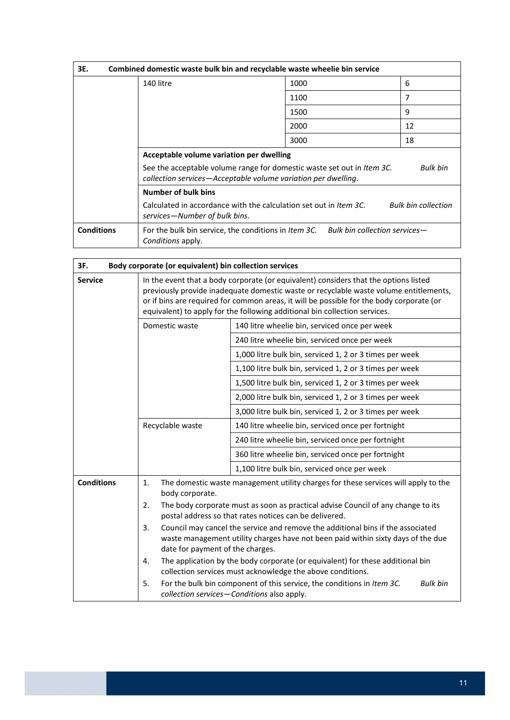| 3E.               | Combined domestic waste bulk bin and recyclable waste wheelie bin service                                                                                  |      |                            |  |
|-------------------|------------------------------------------------------------------------------------------------------------------------------------------------------------|------|----------------------------|--|
|                   | 140 litre                                                                                                                                                  | 1000 | 6                          |  |
|                   |                                                                                                                                                            | 1100 | 7                          |  |
|                   |                                                                                                                                                            | 1500 | 9                          |  |
|                   |                                                                                                                                                            | 2000 | 12                         |  |
|                   |                                                                                                                                                            | 3000 | 18                         |  |
|                   | Acceptable volume variation per dwelling                                                                                                                   |      |                            |  |
|                   | See the acceptable volume range for domestic waste set out in Item 3C.<br><b>Bulk bin</b><br>collection services-Acceptable volume variation per dwelling. |      |                            |  |
|                   | <b>Number of bulk bins</b>                                                                                                                                 |      |                            |  |
|                   | Calculated in accordance with the calculation set out in <i>Item 3C</i> .<br>services—Number of bulk bins.                                                 |      | <b>Bulk bin collection</b> |  |
| <b>Conditions</b> | For the bulk bin service, the conditions in Item 3C. Bulk bin collection services-<br>Conditions apply.                                                    |      |                            |  |

| 3F.               | Body corporate (or equivalent) bin collection services                                                                                                                                                                                                                                                                                                  |                                                                                                                                              |  |
|-------------------|---------------------------------------------------------------------------------------------------------------------------------------------------------------------------------------------------------------------------------------------------------------------------------------------------------------------------------------------------------|----------------------------------------------------------------------------------------------------------------------------------------------|--|
| <b>Service</b>    | In the event that a body corporate (or equivalent) considers that the options listed<br>previously provide inadequate domestic waste or recyclable waste volume entitlements,<br>or if bins are required for common areas, it will be possible for the body corporate (or<br>equivalent) to apply for the following additional bin collection services. |                                                                                                                                              |  |
|                   | Domestic waste                                                                                                                                                                                                                                                                                                                                          | 140 litre wheelie bin, serviced once per week                                                                                                |  |
|                   |                                                                                                                                                                                                                                                                                                                                                         | 240 litre wheelie bin, serviced once per week                                                                                                |  |
|                   |                                                                                                                                                                                                                                                                                                                                                         | 1,000 litre bulk bin, serviced 1, 2 or 3 times per week                                                                                      |  |
|                   |                                                                                                                                                                                                                                                                                                                                                         | 1,100 litre bulk bin, serviced 1, 2 or 3 times per week                                                                                      |  |
|                   |                                                                                                                                                                                                                                                                                                                                                         | 1,500 litre bulk bin, serviced 1, 2 or 3 times per week                                                                                      |  |
|                   |                                                                                                                                                                                                                                                                                                                                                         | 2,000 litre bulk bin, serviced 1, 2 or 3 times per week                                                                                      |  |
|                   |                                                                                                                                                                                                                                                                                                                                                         | 3,000 litre bulk bin, serviced 1, 2 or 3 times per week                                                                                      |  |
|                   | Recyclable waste                                                                                                                                                                                                                                                                                                                                        | 140 litre wheelie bin, serviced once per fortnight                                                                                           |  |
|                   |                                                                                                                                                                                                                                                                                                                                                         | 240 litre wheelie bin, serviced once per fortnight                                                                                           |  |
|                   |                                                                                                                                                                                                                                                                                                                                                         | 360 litre wheelie bin, serviced once per fortnight                                                                                           |  |
|                   |                                                                                                                                                                                                                                                                                                                                                         | 1,100 litre bulk bin, serviced once per week                                                                                                 |  |
| <b>Conditions</b> | The domestic waste management utility charges for these services will apply to the<br>1.<br>body corporate.<br>The body corporate must as soon as practical advise Council of any change to its<br>2.<br>postal address so that rates notices can be delivered.                                                                                         |                                                                                                                                              |  |
|                   |                                                                                                                                                                                                                                                                                                                                                         |                                                                                                                                              |  |
|                   | 3.<br>Council may cancel the service and remove the additional bins if the associated<br>waste management utility charges have not been paid within sixty days of the due<br>date for payment of the charges.                                                                                                                                           |                                                                                                                                              |  |
|                   | 4.                                                                                                                                                                                                                                                                                                                                                      | The application by the body corporate (or equivalent) for these additional bin<br>collection services must acknowledge the above conditions. |  |
|                   | 5.                                                                                                                                                                                                                                                                                                                                                      | For the bulk bin component of this service, the conditions in Item 3C.<br><b>Bulk bin</b><br>collection services-Conditions also apply.      |  |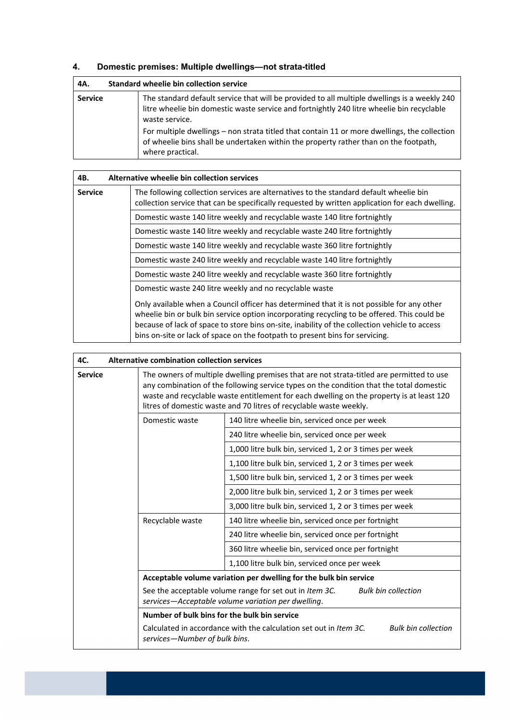# **4. Domestic premises: Multiple dwellings—not strata-titled**

| 4A.            | Standard wheelie bin collection service |                                                                                                                                                                                                             |  |
|----------------|-----------------------------------------|-------------------------------------------------------------------------------------------------------------------------------------------------------------------------------------------------------------|--|
| <b>Service</b> |                                         | The standard default service that will be provided to all multiple dwellings is a weekly 240<br>litre wheelie bin domestic waste service and fortnightly 240 litre wheelie bin recyclable<br>waste service. |  |
|                |                                         | For multiple dwellings - non strata titled that contain 11 or more dwellings, the collection<br>of wheelie bins shall be undertaken within the property rather than on the footpath,<br>where practical.    |  |

| 4B.                                                                        | Alternative wheelie bin collection services                                                                                                                                                                                                                                                                                                                                |
|----------------------------------------------------------------------------|----------------------------------------------------------------------------------------------------------------------------------------------------------------------------------------------------------------------------------------------------------------------------------------------------------------------------------------------------------------------------|
| <b>Service</b>                                                             | The following collection services are alternatives to the standard default wheelie bin<br>collection service that can be specifically requested by written application for each dwelling.                                                                                                                                                                                  |
|                                                                            | Domestic waste 140 litre weekly and recyclable waste 140 litre fortnightly                                                                                                                                                                                                                                                                                                 |
|                                                                            | Domestic waste 140 litre weekly and recyclable waste 240 litre fortnightly                                                                                                                                                                                                                                                                                                 |
|                                                                            | Domestic waste 140 litre weekly and recyclable waste 360 litre fortnightly                                                                                                                                                                                                                                                                                                 |
| Domestic waste 240 litre weekly and recyclable waste 140 litre fortnightly |                                                                                                                                                                                                                                                                                                                                                                            |
|                                                                            | Domestic waste 240 litre weekly and recyclable waste 360 litre fortnightly                                                                                                                                                                                                                                                                                                 |
| Domestic waste 240 litre weekly and no recyclable waste                    |                                                                                                                                                                                                                                                                                                                                                                            |
|                                                                            | Only available when a Council officer has determined that it is not possible for any other<br>wheelie bin or bulk bin service option incorporating recycling to be offered. This could be<br>because of lack of space to store bins on-site, inability of the collection vehicle to access<br>bins on-site or lack of space on the footpath to present bins for servicing. |

| 4C.            | Alternative combination collection services                                                                                                 |                                                                                                                                                                                                                                                                                                                                                       |  |
|----------------|---------------------------------------------------------------------------------------------------------------------------------------------|-------------------------------------------------------------------------------------------------------------------------------------------------------------------------------------------------------------------------------------------------------------------------------------------------------------------------------------------------------|--|
| <b>Service</b> |                                                                                                                                             | The owners of multiple dwelling premises that are not strata-titled are permitted to use<br>any combination of the following service types on the condition that the total domestic<br>waste and recyclable waste entitlement for each dwelling on the property is at least 120<br>litres of domestic waste and 70 litres of recyclable waste weekly. |  |
|                | Domestic waste                                                                                                                              | 140 litre wheelie bin, serviced once per week                                                                                                                                                                                                                                                                                                         |  |
|                |                                                                                                                                             | 240 litre wheelie bin, serviced once per week                                                                                                                                                                                                                                                                                                         |  |
|                |                                                                                                                                             | 1,000 litre bulk bin, serviced 1, 2 or 3 times per week                                                                                                                                                                                                                                                                                               |  |
|                |                                                                                                                                             | 1,100 litre bulk bin, serviced 1, 2 or 3 times per week                                                                                                                                                                                                                                                                                               |  |
|                |                                                                                                                                             | 1,500 litre bulk bin, serviced 1, 2 or 3 times per week                                                                                                                                                                                                                                                                                               |  |
|                |                                                                                                                                             | 2,000 litre bulk bin, serviced 1, 2 or 3 times per week                                                                                                                                                                                                                                                                                               |  |
|                |                                                                                                                                             | 3,000 litre bulk bin, serviced 1, 2 or 3 times per week                                                                                                                                                                                                                                                                                               |  |
|                | Recyclable waste                                                                                                                            | 140 litre wheelie bin, serviced once per fortnight                                                                                                                                                                                                                                                                                                    |  |
|                |                                                                                                                                             | 240 litre wheelie bin, serviced once per fortnight                                                                                                                                                                                                                                                                                                    |  |
|                |                                                                                                                                             | 360 litre wheelie bin, serviced once per fortnight                                                                                                                                                                                                                                                                                                    |  |
|                |                                                                                                                                             | 1,100 litre bulk bin, serviced once per week                                                                                                                                                                                                                                                                                                          |  |
|                |                                                                                                                                             | Acceptable volume variation per dwelling for the bulk bin service                                                                                                                                                                                                                                                                                     |  |
|                | See the acceptable volume range for set out in Item 3C.<br><b>Bulk bin collection</b><br>services-Acceptable volume variation per dwelling. |                                                                                                                                                                                                                                                                                                                                                       |  |
|                | Number of bulk bins for the bulk bin service                                                                                                |                                                                                                                                                                                                                                                                                                                                                       |  |
|                | services-Number of bulk bins.                                                                                                               | Calculated in accordance with the calculation set out in Item 3C.<br><b>Bulk bin collection</b>                                                                                                                                                                                                                                                       |  |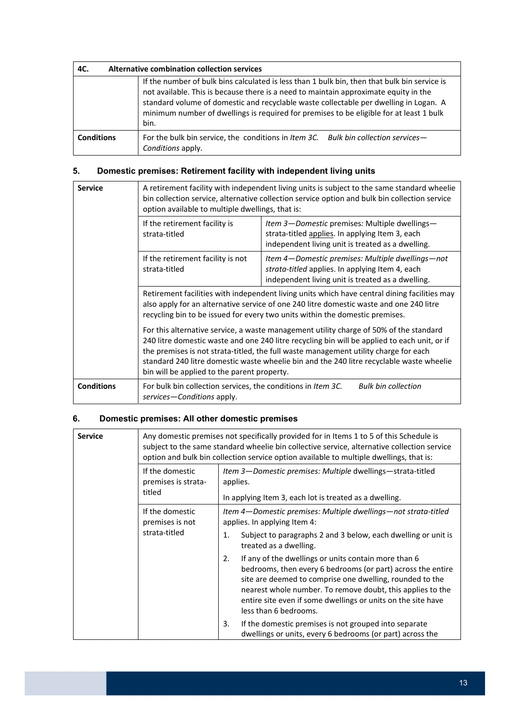| 4C.               | Alternative combination collection services |                                                                                                                                                                                                                                                                                                                                                                                  |  |
|-------------------|---------------------------------------------|----------------------------------------------------------------------------------------------------------------------------------------------------------------------------------------------------------------------------------------------------------------------------------------------------------------------------------------------------------------------------------|--|
|                   |                                             | If the number of bulk bins calculated is less than 1 bulk bin, then that bulk bin service is<br>not available. This is because there is a need to maintain approximate equity in the<br>standard volume of domestic and recyclable waste collectable per dwelling in Logan. A<br>minimum number of dwellings is required for premises to be eligible for at least 1 bulk<br>bin. |  |
| <b>Conditions</b> |                                             | For the bulk bin service, the conditions in Item 3C. Bulk bin collection services-<br>Conditions apply.                                                                                                                                                                                                                                                                          |  |

# **5. Domestic premises: Retirement facility with independent living units**

| <b>Service</b>    | A retirement facility with independent living units is subject to the same standard wheelie<br>bin collection service, alternative collection service option and bulk bin collection service<br>option available to multiple dwellings, that is:                                                                                                                                                                          |                                                                                                                                                          |  |  |
|-------------------|---------------------------------------------------------------------------------------------------------------------------------------------------------------------------------------------------------------------------------------------------------------------------------------------------------------------------------------------------------------------------------------------------------------------------|----------------------------------------------------------------------------------------------------------------------------------------------------------|--|--|
|                   | If the retirement facility is<br>strata-titled                                                                                                                                                                                                                                                                                                                                                                            | Item 3-Domestic premises: Multiple dwellings-<br>strata-titled applies. In applying Item 3, each<br>independent living unit is treated as a dwelling.    |  |  |
|                   | If the retirement facility is not<br>strata-titled                                                                                                                                                                                                                                                                                                                                                                        | Item 4—Domestic premises: Multiple dwellings—not<br>strata-titled applies. In applying Item 4, each<br>independent living unit is treated as a dwelling. |  |  |
|                   | Retirement facilities with independent living units which have central dining facilities may<br>also apply for an alternative service of one 240 litre domestic waste and one 240 litre<br>recycling bin to be issued for every two units within the domestic premises.                                                                                                                                                   |                                                                                                                                                          |  |  |
|                   | For this alternative service, a waste management utility charge of 50% of the standard<br>240 litre domestic waste and one 240 litre recycling bin will be applied to each unit, or if<br>the premises is not strata-titled, the full waste management utility charge for each<br>standard 240 litre domestic waste wheelie bin and the 240 litre recyclable waste wheelie<br>bin will be applied to the parent property. |                                                                                                                                                          |  |  |
| <b>Conditions</b> | For bulk bin collection services, the conditions in Item 3C.<br>services—Conditions apply.                                                                                                                                                                                                                                                                                                                                | <b>Bulk bin collection</b>                                                                                                                               |  |  |

# **6. Domestic premises: All other domestic premises**

| <b>Service</b> |                                                     | Any domestic premises not specifically provided for in Items 1 to 5 of this Schedule is<br>subject to the same standard wheelie bin collective service, alternative collection service<br>option and bulk bin collection service option available to multiple dwellings, that is:                                                            |
|----------------|-----------------------------------------------------|----------------------------------------------------------------------------------------------------------------------------------------------------------------------------------------------------------------------------------------------------------------------------------------------------------------------------------------------|
|                | If the domestic<br>premises is strata-<br>titled    | Item 3-Domestic premises: Multiple dwellings-strata-titled<br>applies.<br>In applying Item 3, each lot is treated as a dwelling.                                                                                                                                                                                                             |
|                | If the domestic<br>premises is not<br>strata-titled | Item 4-Domestic premises: Multiple dwellings-not strata-titled<br>applies. In applying Item 4:                                                                                                                                                                                                                                               |
|                |                                                     | Subject to paragraphs 2 and 3 below, each dwelling or unit is<br>1.<br>treated as a dwelling.                                                                                                                                                                                                                                                |
|                |                                                     | If any of the dwellings or units contain more than 6<br>2.<br>bedrooms, then every 6 bedrooms (or part) across the entire<br>site are deemed to comprise one dwelling, rounded to the<br>nearest whole number. To remove doubt, this applies to the<br>entire site even if some dwellings or units on the site have<br>less than 6 bedrooms. |
|                |                                                     | 3.<br>If the domestic premises is not grouped into separate<br>dwellings or units, every 6 bedrooms (or part) across the                                                                                                                                                                                                                     |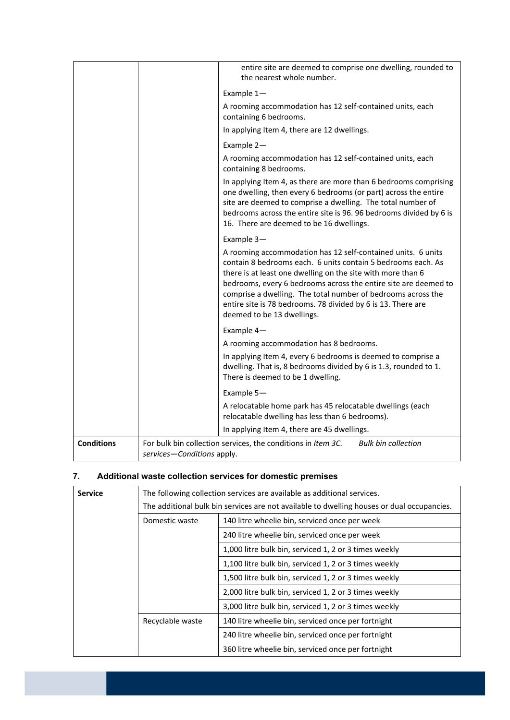|                   |                            | entire site are deemed to comprise one dwelling, rounded to<br>the nearest whole number.                                                                                                                                                                                                                                                                                                                                     |
|-------------------|----------------------------|------------------------------------------------------------------------------------------------------------------------------------------------------------------------------------------------------------------------------------------------------------------------------------------------------------------------------------------------------------------------------------------------------------------------------|
|                   |                            | Example 1-                                                                                                                                                                                                                                                                                                                                                                                                                   |
|                   |                            | A rooming accommodation has 12 self-contained units, each<br>containing 6 bedrooms.                                                                                                                                                                                                                                                                                                                                          |
|                   |                            | In applying Item 4, there are 12 dwellings.                                                                                                                                                                                                                                                                                                                                                                                  |
|                   |                            | Example 2-                                                                                                                                                                                                                                                                                                                                                                                                                   |
|                   |                            | A rooming accommodation has 12 self-contained units, each<br>containing 8 bedrooms.                                                                                                                                                                                                                                                                                                                                          |
|                   |                            | In applying Item 4, as there are more than 6 bedrooms comprising<br>one dwelling, then every 6 bedrooms (or part) across the entire<br>site are deemed to comprise a dwelling. The total number of<br>bedrooms across the entire site is 96.96 bedrooms divided by 6 is<br>16. There are deemed to be 16 dwellings.                                                                                                          |
|                   |                            | Example 3-                                                                                                                                                                                                                                                                                                                                                                                                                   |
|                   |                            | A rooming accommodation has 12 self-contained units. 6 units<br>contain 8 bedrooms each. 6 units contain 5 bedrooms each. As<br>there is at least one dwelling on the site with more than 6<br>bedrooms, every 6 bedrooms across the entire site are deemed to<br>comprise a dwelling. The total number of bedrooms across the<br>entire site is 78 bedrooms. 78 divided by 6 is 13. There are<br>deemed to be 13 dwellings. |
|                   |                            | Example 4-                                                                                                                                                                                                                                                                                                                                                                                                                   |
|                   |                            | A rooming accommodation has 8 bedrooms.                                                                                                                                                                                                                                                                                                                                                                                      |
|                   |                            | In applying Item 4, every 6 bedrooms is deemed to comprise a<br>dwelling. That is, 8 bedrooms divided by 6 is 1.3, rounded to 1.<br>There is deemed to be 1 dwelling.                                                                                                                                                                                                                                                        |
|                   |                            | Example 5-                                                                                                                                                                                                                                                                                                                                                                                                                   |
|                   |                            | A relocatable home park has 45 relocatable dwellings (each<br>relocatable dwelling has less than 6 bedrooms).                                                                                                                                                                                                                                                                                                                |
|                   |                            | In applying Item 4, there are 45 dwellings.                                                                                                                                                                                                                                                                                                                                                                                  |
| <b>Conditions</b> | services-Conditions apply. | <b>Bulk bin collection</b><br>For bulk bin collection services, the conditions in Item 3C.                                                                                                                                                                                                                                                                                                                                   |

#### **7. Additional waste collection services for domestic premises**

| <b>Service</b> |                                                                                            | The following collection services are available as additional services. |
|----------------|--------------------------------------------------------------------------------------------|-------------------------------------------------------------------------|
|                | The additional bulk bin services are not available to dwelling houses or dual occupancies. |                                                                         |
|                | Domestic waste                                                                             | 140 litre wheelie bin, serviced once per week                           |
|                |                                                                                            | 240 litre wheelie bin, serviced once per week                           |
|                |                                                                                            | 1,000 litre bulk bin, serviced 1, 2 or 3 times weekly                   |
|                |                                                                                            | 1,100 litre bulk bin, serviced 1, 2 or 3 times weekly                   |
|                |                                                                                            | 1,500 litre bulk bin, serviced 1, 2 or 3 times weekly                   |
|                |                                                                                            | 2,000 litre bulk bin, serviced 1, 2 or 3 times weekly                   |
|                |                                                                                            | 3,000 litre bulk bin, serviced 1, 2 or 3 times weekly                   |
|                | Recyclable waste                                                                           | 140 litre wheelie bin, serviced once per fortnight                      |
|                |                                                                                            | 240 litre wheelie bin, serviced once per fortnight                      |
|                |                                                                                            | 360 litre wheelie bin, serviced once per fortnight                      |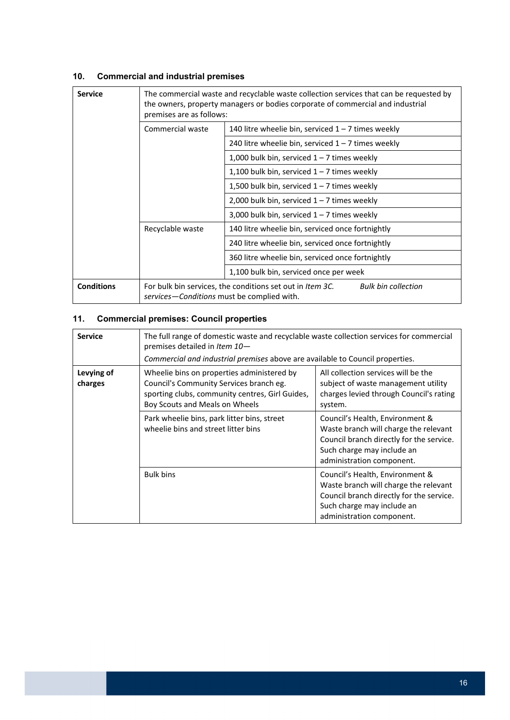# **10. Commercial and industrial premises**

| <b>Service</b>    | The commercial waste and recyclable waste collection services that can be requested by<br>the owners, property managers or bodies corporate of commercial and industrial<br>premises are as follows: |                                                      |  |
|-------------------|------------------------------------------------------------------------------------------------------------------------------------------------------------------------------------------------------|------------------------------------------------------|--|
|                   | Commercial waste                                                                                                                                                                                     | 140 litre wheelie bin, serviced $1 - 7$ times weekly |  |
|                   |                                                                                                                                                                                                      | 240 litre wheelie bin, serviced $1 - 7$ times weekly |  |
|                   |                                                                                                                                                                                                      | 1,000 bulk bin, serviced $1 - 7$ times weekly        |  |
|                   |                                                                                                                                                                                                      | 1,100 bulk bin, serviced $1 - 7$ times weekly        |  |
|                   |                                                                                                                                                                                                      | 1,500 bulk bin, serviced $1 - 7$ times weekly        |  |
|                   |                                                                                                                                                                                                      | 2,000 bulk bin, serviced $1 - 7$ times weekly        |  |
|                   |                                                                                                                                                                                                      | 3,000 bulk bin, serviced $1 - 7$ times weekly        |  |
|                   | Recyclable waste                                                                                                                                                                                     | 140 litre wheelie bin, serviced once fortnightly     |  |
|                   |                                                                                                                                                                                                      | 240 litre wheelie bin, serviced once fortnightly     |  |
|                   |                                                                                                                                                                                                      | 360 litre wheelie bin, serviced once fortnightly     |  |
|                   |                                                                                                                                                                                                      | 1,100 bulk bin, serviced once per week               |  |
| <b>Conditions</b> | For bulk bin services, the conditions set out in Item 3C.<br><b>Bulk bin collection</b><br>services-Conditions must be complied with.                                                                |                                                      |  |

# **11. Commercial premises: Council properties**

| <b>Service</b>        | The full range of domestic waste and recyclable waste collection services for commercial<br>premises detailed in Item 10-<br>Commercial and industrial premises above are available to Council properties. |                                                                                                                                                                                 |  |
|-----------------------|------------------------------------------------------------------------------------------------------------------------------------------------------------------------------------------------------------|---------------------------------------------------------------------------------------------------------------------------------------------------------------------------------|--|
| Levying of<br>charges | Wheelie bins on properties administered by<br>Council's Community Services branch eg.<br>sporting clubs, community centres, Girl Guides,<br>Boy Scouts and Meals on Wheels                                 | All collection services will be the<br>subject of waste management utility<br>charges levied through Council's rating<br>system.                                                |  |
|                       | Park wheelie bins, park litter bins, street<br>wheelie bins and street litter bins                                                                                                                         | Council's Health, Environment &<br>Waste branch will charge the relevant<br>Council branch directly for the service.<br>Such charge may include an<br>administration component. |  |
|                       | <b>Bulk bins</b>                                                                                                                                                                                           | Council's Health, Environment &<br>Waste branch will charge the relevant<br>Council branch directly for the service.<br>Such charge may include an<br>administration component. |  |